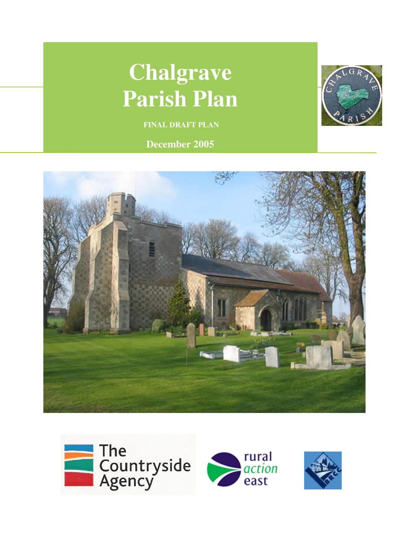# **Chalgrave Parish Plan**

 **FINAL DRAFT PLAN** 

**December 2005**





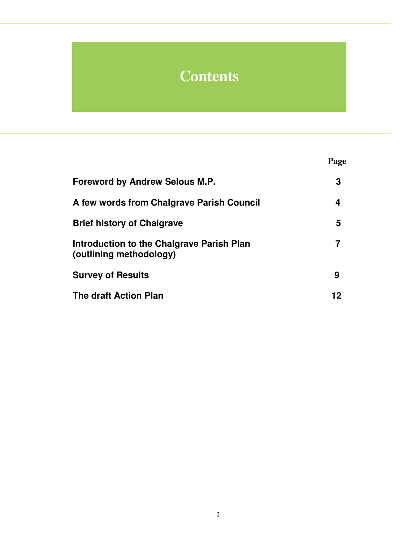# **Contents**

|                                                                      | Page |
|----------------------------------------------------------------------|------|
| <b>Foreword by Andrew Selous M.P.</b>                                | 3    |
| A few words from Chalgrave Parish Council                            | 4    |
| <b>Brief history of Chalgrave</b>                                    | 5    |
| Introduction to the Chalgrave Parish Plan<br>(outlining methodology) |      |
| <b>Survey of Results</b>                                             | 9    |
| <b>The draft Action Plan</b>                                         | 12   |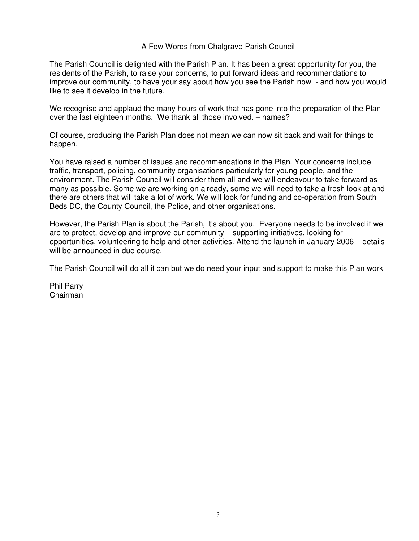#### A Few Words from Chalgrave Parish Council

The Parish Council is delighted with the Parish Plan. It has been a great opportunity for you, the residents of the Parish, to raise your concerns, to put forward ideas and recommendations to improve our community, to have your say about how you see the Parish now - and how you would like to see it develop in the future.

We recognise and applaud the many hours of work that has gone into the preparation of the Plan over the last eighteen months. We thank all those involved. – names?

Of course, producing the Parish Plan does not mean we can now sit back and wait for things to happen.

You have raised a number of issues and recommendations in the Plan. Your concerns include traffic, transport, policing, community organisations particularly for young people, and the environment. The Parish Council will consider them all and we will endeavour to take forward as many as possible. Some we are working on already, some we will need to take a fresh look at and there are others that will take a lot of work. We will look for funding and co-operation from South Beds DC, the County Council, the Police, and other organisations.

However, the Parish Plan is about the Parish, it's about you. Everyone needs to be involved if we are to protect, develop and improve our community – supporting initiatives, looking for opportunities, volunteering to help and other activities. Attend the launch in January 2006 – details will be announced in due course.

The Parish Council will do all it can but we do need your input and support to make this Plan work

Phil Parry Chairman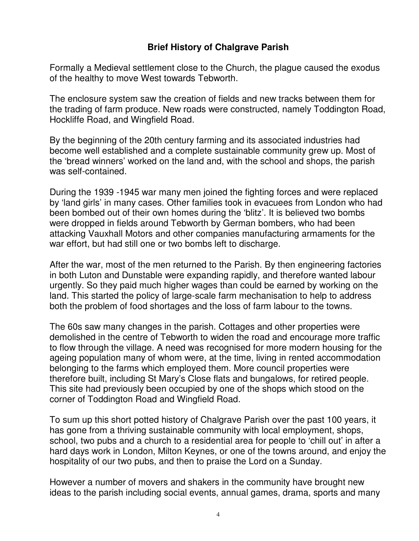### **Brief History of Chalgrave Parish**

Formally a Medieval settlement close to the Church, the plague caused the exodus of the healthy to move West towards Tebworth.

The enclosure system saw the creation of fields and new tracks between them for the trading of farm produce. New roads were constructed, namely Toddington Road, Hockliffe Road, and Wingfield Road.

By the beginning of the 20th century farming and its associated industries had become well established and a complete sustainable community grew up. Most of the 'bread winners' worked on the land and, with the school and shops, the parish was self-contained.

During the 1939 -1945 war many men joined the fighting forces and were replaced by 'land girls' in many cases. Other families took in evacuees from London who had been bombed out of their own homes during the 'blitz'. It is believed two bombs were dropped in fields around Tebworth by German bombers, who had been attacking Vauxhall Motors and other companies manufacturing armaments for the war effort, but had still one or two bombs left to discharge.

After the war, most of the men returned to the Parish. By then engineering factories in both Luton and Dunstable were expanding rapidly, and therefore wanted labour urgently. So they paid much higher wages than could be earned by working on the land. This started the policy of large-scale farm mechanisation to help to address both the problem of food shortages and the loss of farm labour to the towns.

The 60s saw many changes in the parish. Cottages and other properties were demolished in the centre of Tebworth to widen the road and encourage more traffic to flow through the village. A need was recognised for more modern housing for the ageing population many of whom were, at the time, living in rented accommodation belonging to the farms which employed them. More council properties were therefore built, including St Mary's Close flats and bungalows, for retired people. This site had previously been occupied by one of the shops which stood on the corner of Toddington Road and Wingfield Road.

To sum up this short potted history of Chalgrave Parish over the past 100 years, it has gone from a thriving sustainable community with local employment, shops, school, two pubs and a church to a residential area for people to 'chill out' in after a hard days work in London, Milton Keynes, or one of the towns around, and enjoy the hospitality of our two pubs, and then to praise the Lord on a Sunday.

However a number of movers and shakers in the community have brought new ideas to the parish including social events, annual games, drama, sports and many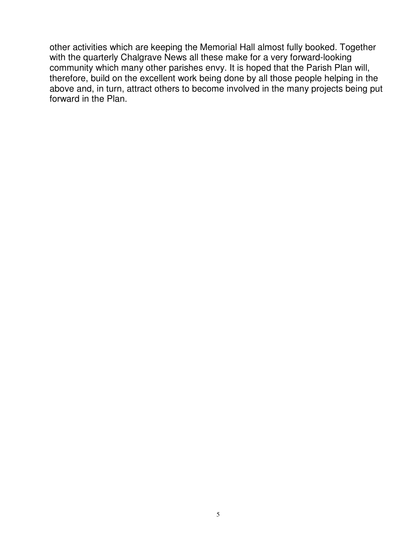other activities which are keeping the Memorial Hall almost fully booked. Together with the quarterly Chalgrave News all these make for a very forward-looking community which many other parishes envy. It is hoped that the Parish Plan will, therefore, build on the excellent work being done by all those people helping in the above and, in turn, attract others to become involved in the many projects being put forward in the Plan.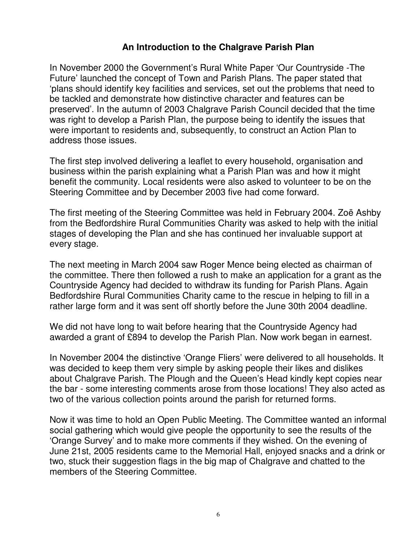#### **An Introduction to the Chalgrave Parish Plan**

In November 2000 the Government's Rural White Paper 'Our Countryside -The Future' launched the concept of Town and Parish Plans. The paper stated that 'plans should identify key facilities and services, set out the problems that need to be tackled and demonstrate how distinctive character and features can be preserved'. In the autumn of 2003 Chalgrave Parish Council decided that the time was right to develop a Parish Plan, the purpose being to identify the issues that were important to residents and, subsequently, to construct an Action Plan to address those issues.

The first step involved delivering a leaflet to every household, organisation and business within the parish explaining what a Parish Plan was and how it might benefit the community. Local residents were also asked to volunteer to be on the Steering Committee and by December 2003 five had come forward.

The first meeting of the Steering Committee was held in February 2004. Zoë Ashby from the Bedfordshire Rural Communities Charity was asked to help with the initial stages of developing the Plan and she has continued her invaluable support at every stage.

The next meeting in March 2004 saw Roger Mence being elected as chairman of the committee. There then followed a rush to make an application for a grant as the Countryside Agency had decided to withdraw its funding for Parish Plans. Again Bedfordshire Rural Communities Charity came to the rescue in helping to fill in a rather large form and it was sent off shortly before the June 30th 2004 deadline.

We did not have long to wait before hearing that the Countryside Agency had awarded a grant of £894 to develop the Parish Plan. Now work began in earnest.

In November 2004 the distinctive 'Orange Fliers' were delivered to all households. It was decided to keep them very simple by asking people their likes and dislikes about Chalgrave Parish. The Plough and the Queen's Head kindly kept copies near the bar - some interesting comments arose from those locations! They also acted as two of the various collection points around the parish for returned forms.

Now it was time to hold an Open Public Meeting. The Committee wanted an informal social gathering which would give people the opportunity to see the results of the 'Orange Survey' and to make more comments if they wished. On the evening of June 21st, 2005 residents came to the Memorial Hall, enjoyed snacks and a drink or two, stuck their suggestion flags in the big map of Chalgrave and chatted to the members of the Steering Committee.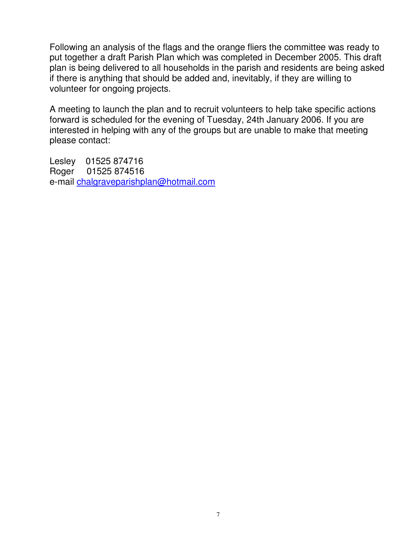Following an analysis of the flags and the orange fliers the committee was ready to put together a draft Parish Plan which was completed in December 2005. This draft plan is being delivered to all households in the parish and residents are being asked if there is anything that should be added and, inevitably, if they are willing to volunteer for ongoing projects.

A meeting to launch the plan and to recruit volunteers to help take specific actions forward is scheduled for the evening of Tuesday, 24th January 2006. If you are interested in helping with any of the groups but are unable to make that meeting please contact:

Lesley 01525 874716<br>Roger 01525 874516 01525 874516 e-mail chalgraveparishplan@hotmail.com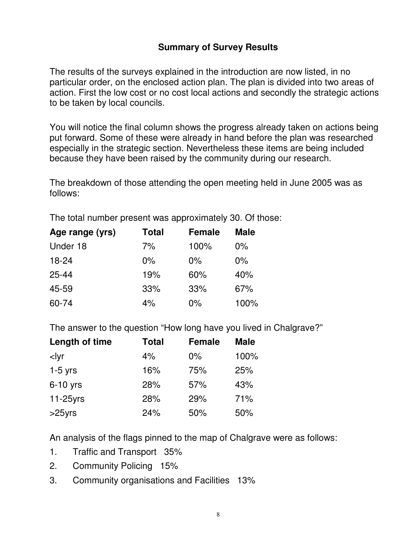## **Summary of Survey Results**

The results of the surveys explained in the introduction are now listed, in no particular order, on the enclosed action plan. The plan is divided into two areas of action. First the low cost or no cost local actions and secondly the strategic actions to be taken by local councils.

You will notice the final column shows the progress already taken on actions being put forward. Some of these were already in hand before the plan was researched especially in the strategic section. Nevertheless these items are being included because they have been raised by the community during our research.

The breakdown of those attending the open meeting held in June 2005 was as follows:

The total number present was approximately 30. Of those:

| Age range (yrs) | <b>Total</b> | <b>Female</b> | <b>Male</b> |
|-----------------|--------------|---------------|-------------|
| Under 18        | 7%           | 100%          | $0\%$       |
| $18 - 24$       | $0\%$        | $0\%$         | $0\%$       |
| $25 - 44$       | 19%          | 60%           | 40%         |
| 45-59           | 33%          | 33%           | 67%         |
| 60-74           | 4%           | $0\%$         | 100%        |

The answer to the question "How long have you lived in Chalgrave?"

| Length of time                                                       | <b>Total</b> | <b>Female</b> | <b>Male</b> |
|----------------------------------------------------------------------|--------------|---------------|-------------|
| <lyr< td=""><td>4%</td><td><math>0\%</math></td><td>100%</td></lyr<> | 4%           | $0\%$         | 100%        |
| $1-5$ yrs                                                            | 16%          | 75%           | 25%         |
| $6-10$ yrs                                                           | 28%          | 57%           | 43%         |
| $11-25$ yrs                                                          | 28%          | 29%           | 71%         |
| $>25$ yrs                                                            | 24%          | 50%           | 50%         |

An analysis of the flags pinned to the map of Chalgrave were as follows:

- 1. Traffic and Transport 35%
- 2. Community Policing 15%
- 3. Community organisations and Facilities 13%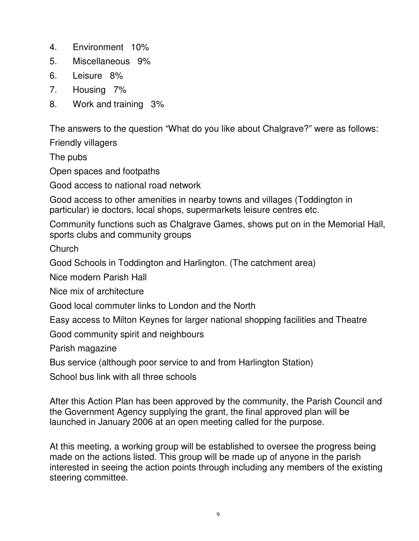- 4. Environment 10%
- 5. Miscellaneous 9%
- 6. Leisure 8%
- 7. Housing 7%
- 8. Work and training 3%

The answers to the question "What do you like about Chalgrave?" were as follows:

Friendly villagers

The pubs

Open spaces and footpaths

Good access to national road network

Good access to other amenities in nearby towns and villages (Toddington in particular) ie doctors, local shops, supermarkets leisure centres etc.

Community functions such as Chalgrave Games, shows put on in the Memorial Hall, sports clubs and community groups

Church

Good Schools in Toddington and Harlington. (The catchment area)

Nice modern Parish Hall

Nice mix of architecture

Good local commuter links to London and the North

Easy access to Milton Keynes for larger national shopping facilities and Theatre

Good community spirit and neighbours

Parish magazine

Bus service (although poor service to and from Harlington Station)

School bus link with all three schools

After this Action Plan has been approved by the community, the Parish Council and the Government Agency supplying the grant, the final approved plan will be launched in January 2006 at an open meeting called for the purpose.

At this meeting, a working group will be established to oversee the progress being made on the actions listed. This group will be made up of anyone in the parish interested in seeing the action points through including any members of the existing steering committee.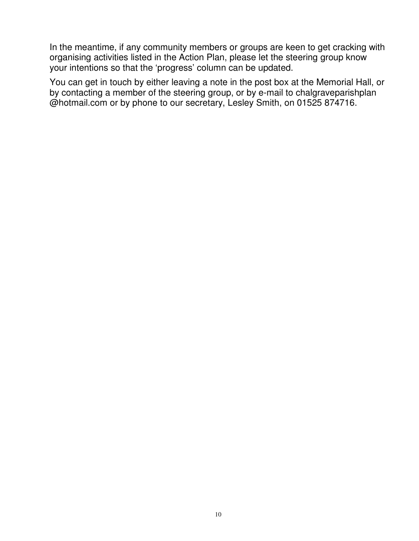In the meantime, if any community members or groups are keen to get cracking with organising activities listed in the Action Plan, please let the steering group know your intentions so that the 'progress' column can be updated.

You can get in touch by either leaving a note in the post box at the Memorial Hall, or by contacting a member of the steering group, or by e-mail to chalgraveparishplan @hotmail.com or by phone to our secretary, Lesley Smith, on 01525 874716.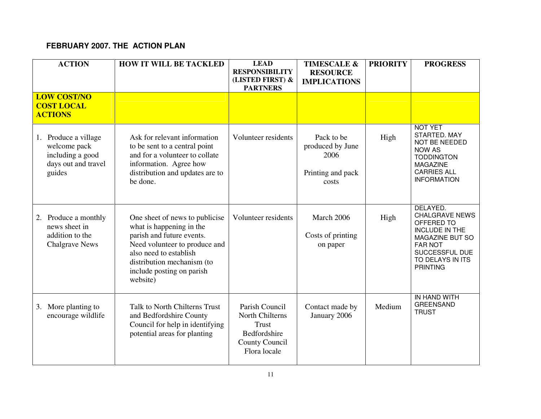#### **FEBRUARY 2007. THE ACTION PLAN**

| <b>ACTION</b>                                                                                | <b>HOW IT WILL BE TACKLED</b>                                                                                                                                                                                             | <b>LEAD</b><br><b>RESPONSIBILITY</b><br>(LISTED FIRST) &<br><b>PARTNERS</b>                         | <b>TIMESCALE &amp;</b><br><b>RESOURCE</b><br><b>IMPLICATIONS</b>     | <b>PRIORITY</b> | <b>PROGRESS</b>                                                                                                                                                        |
|----------------------------------------------------------------------------------------------|---------------------------------------------------------------------------------------------------------------------------------------------------------------------------------------------------------------------------|-----------------------------------------------------------------------------------------------------|----------------------------------------------------------------------|-----------------|------------------------------------------------------------------------------------------------------------------------------------------------------------------------|
| <b>LOW COST/NO</b><br><b>COST LOCAL</b><br><b>ACTIONS</b>                                    |                                                                                                                                                                                                                           |                                                                                                     |                                                                      |                 |                                                                                                                                                                        |
| Produce a village<br>1.<br>welcome pack<br>including a good<br>days out and travel<br>guides | Ask for relevant information<br>to be sent to a central point<br>and for a volunteer to collate<br>information. Agree how<br>distribution and updates are to<br>be done.                                                  | Volunteer residents                                                                                 | Pack to be<br>produced by June<br>2006<br>Printing and pack<br>costs | High            | <b>NOT YET</b><br>STARTED. MAY<br>NOT BE NEEDED<br><b>NOW AS</b><br><b>TODDINGTON</b><br><b>MAGAZINE</b><br><b>CARRIES ALL</b><br><b>INFORMATION</b>                   |
| Produce a monthly<br>2.<br>news sheet in<br>addition to the<br><b>Chalgrave News</b>         | One sheet of news to publicise<br>what is happening in the<br>parish and future events.<br>Need volunteer to produce and<br>also need to establish<br>distribution mechanism (to<br>include posting on parish<br>website) | Volunteer residents                                                                                 | March 2006<br>Costs of printing<br>on paper                          | High            | DELAYED.<br><b>CHALGRAVE NEWS</b><br>OFFERED TO<br><b>INCLUDE IN THE</b><br>MAGAZINE BUT SO<br><b>FAR NOT</b><br>SUCCESSFUL DUE<br>TO DELAYS IN ITS<br><b>PRINTING</b> |
| More planting to<br>3.<br>encourage wildlife                                                 | Talk to North Chilterns Trust<br>and Bedfordshire County<br>Council for help in identifying<br>potential areas for planting                                                                                               | Parish Council<br>North Chilterns<br><b>Trust</b><br>Bedfordshire<br>County Council<br>Flora locale | Contact made by<br>January 2006                                      | Medium          | IN HAND WITH<br><b>GREENSAND</b><br><b>TRUST</b>                                                                                                                       |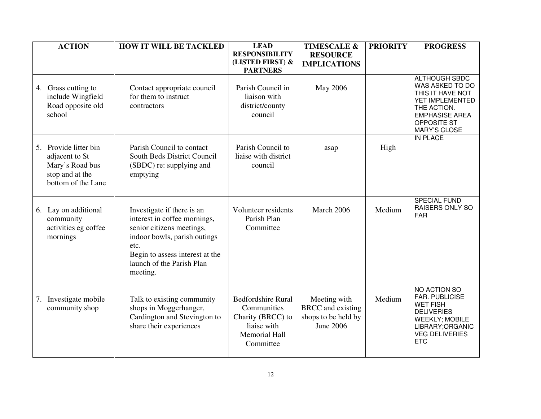|    | <b>ACTION</b>                                                                                       | <b>HOW IT WILL BE TACKLED</b>                                                                                                                                                                               | <b>LEAD</b>                                                                                                       | <b>TIMESCALE &amp;</b>                                                       | <b>PRIORITY</b> | <b>PROGRESS</b>                                                                                                                                                  |
|----|-----------------------------------------------------------------------------------------------------|-------------------------------------------------------------------------------------------------------------------------------------------------------------------------------------------------------------|-------------------------------------------------------------------------------------------------------------------|------------------------------------------------------------------------------|-----------------|------------------------------------------------------------------------------------------------------------------------------------------------------------------|
|    |                                                                                                     |                                                                                                                                                                                                             | <b>RESPONSIBILITY</b><br>(LISTED FIRST) &<br><b>PARTNERS</b>                                                      | <b>RESOURCE</b><br><b>IMPLICATIONS</b>                                       |                 |                                                                                                                                                                  |
| 4. | Grass cutting to<br>include Wingfield<br>Road opposite old<br>school                                | Contact appropriate council<br>for them to instruct<br>contractors                                                                                                                                          | Parish Council in<br>liaison with<br>district/county<br>council                                                   | May 2006                                                                     |                 | <b>ALTHOUGH SBDC</b><br>WAS ASKED TO DO<br>THIS IT HAVE NOT<br>YET IMPLEMENTED<br>THE ACTION.<br><b>EMPHASISE AREA</b><br>OPPOSITE ST<br>MARY'S CLOSE            |
|    | 5. Provide litter bin<br>adjacent to St<br>Mary's Road bus<br>stop and at the<br>bottom of the Lane | Parish Council to contact<br>South Beds District Council<br>(SBDC) re: supplying and<br>emptying                                                                                                            | Parish Council to<br>liaise with district<br>council                                                              | asap                                                                         | High            | <b>IN PLACE</b>                                                                                                                                                  |
| 6. | Lay on additional<br>community<br>activities eg coffee<br>mornings                                  | Investigate if there is an<br>interest in coffee mornings,<br>senior citizens meetings,<br>indoor bowls, parish outings<br>etc.<br>Begin to assess interest at the<br>launch of the Parish Plan<br>meeting. | Volunteer residents<br>Parish Plan<br>Committee                                                                   | March 2006                                                                   | Medium          | <b>SPECIAL FUND</b><br><b>RAISERS ONLY SO</b><br><b>FAR</b>                                                                                                      |
| 7. | Investigate mobile<br>community shop                                                                | Talk to existing community<br>shops in Moggerhanger,<br>Cardington and Stevington to<br>share their experiences                                                                                             | <b>Bedfordshire Rural</b><br>Communities<br>Charity (BRCC) to<br>liaise with<br><b>Memorial Hall</b><br>Committee | Meeting with<br><b>BRCC</b> and existing<br>shops to be held by<br>June 2006 | Medium          | NO ACTION SO<br><b>FAR. PUBLICISE</b><br><b>WET FISH</b><br><b>DELIVERIES</b><br><b>WEEKLY; MOBILE</b><br>LIBRARY;ORGANIC<br><b>VEG DELIVERIES</b><br><b>ETC</b> |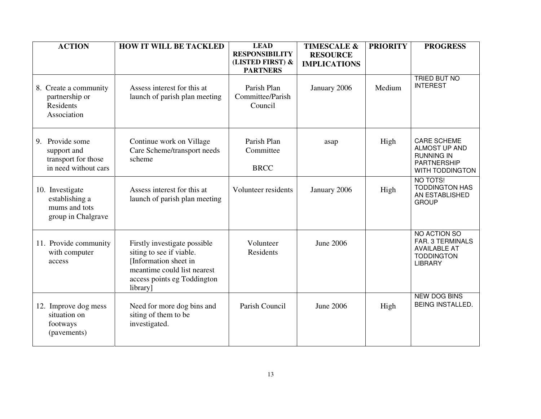| <b>ACTION</b>                                                                 | <b>HOW IT WILL BE TACKLED</b>                                                                                                                               | <b>LEAD</b>                                                  | <b>TIMESCALE &amp;</b>                 | <b>PRIORITY</b> | <b>PROGRESS</b>                                                                                          |
|-------------------------------------------------------------------------------|-------------------------------------------------------------------------------------------------------------------------------------------------------------|--------------------------------------------------------------|----------------------------------------|-----------------|----------------------------------------------------------------------------------------------------------|
|                                                                               |                                                                                                                                                             | <b>RESPONSIBILITY</b><br>(LISTED FIRST) &<br><b>PARTNERS</b> | <b>RESOURCE</b><br><b>IMPLICATIONS</b> |                 |                                                                                                          |
| 8. Create a community<br>partnership or<br><b>Residents</b><br>Association    | Assess interest for this at<br>launch of parish plan meeting                                                                                                | Parish Plan<br>Committee/Parish<br>Council                   | January 2006                           | Medium          | <b>TRIED BUT NO</b><br><b>INTEREST</b>                                                                   |
| 9. Provide some<br>support and<br>transport for those<br>in need without cars | Continue work on Village<br>Care Scheme/transport needs<br>scheme                                                                                           | Parish Plan<br>Committee<br><b>BRCC</b>                      | asap                                   | High            | <b>CARE SCHEME</b><br>ALMOST UP AND<br><b>RUNNING IN</b><br><b>PARTNERSHIP</b><br><b>WITH TODDINGTON</b> |
| 10. Investigate<br>establishing a<br>mums and tots<br>group in Chalgrave      | Assess interest for this at<br>launch of parish plan meeting                                                                                                | Volunteer residents                                          | January 2006                           | High            | NO TOTS!<br><b>TODDINGTON HAS</b><br>AN ESTABLISHED<br><b>GROUP</b>                                      |
| 11. Provide community<br>with computer<br>access                              | Firstly investigate possible<br>siting to see if viable.<br>[Information sheet in<br>meantime could list nearest<br>access points eg Toddington<br>library] | Volunteer<br>Residents                                       | <b>June 2006</b>                       |                 | NO ACTION SO<br>FAR. 3 TERMINALS<br><b>AVAILABLE AT</b><br><b>TODDINGTON</b><br><b>LIBRARY</b>           |
| 12. Improve dog mess<br>situation on<br>footways<br>(pavements)               | Need for more dog bins and<br>siting of them to be<br>investigated.                                                                                         | Parish Council                                               | June 2006                              | High            | <b>NEW DOG BINS</b><br><b>BEING INSTALLED.</b>                                                           |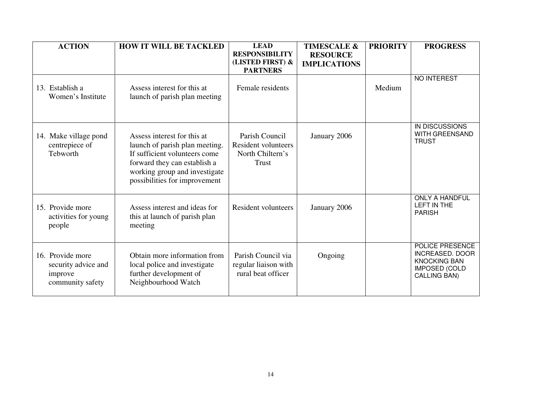| <b>ACTION</b>                                                          | <b>HOW IT WILL BE TACKLED</b>                                                                                                                                                                    | <b>LEAD</b><br><b>RESPONSIBILITY</b>                                             | <b>TIMESCALE &amp;</b><br><b>RESOURCE</b> | <b>PRIORITY</b> | <b>PROGRESS</b>                                                                                                 |
|------------------------------------------------------------------------|--------------------------------------------------------------------------------------------------------------------------------------------------------------------------------------------------|----------------------------------------------------------------------------------|-------------------------------------------|-----------------|-----------------------------------------------------------------------------------------------------------------|
|                                                                        |                                                                                                                                                                                                  | (LISTED FIRST) &<br><b>PARTNERS</b>                                              | <b>IMPLICATIONS</b>                       |                 |                                                                                                                 |
| 13. Establish a<br>Women's Institute                                   | Assess interest for this at<br>launch of parish plan meeting                                                                                                                                     | Female residents                                                                 |                                           | Medium          | NO INTEREST                                                                                                     |
| 14. Make village pond<br>centrepiece of<br>Tebworth                    | Assess interest for this at<br>launch of parish plan meeting.<br>If sufficient volunteers come<br>forward they can establish a<br>working group and investigate<br>possibilities for improvement | Parish Council<br><b>Resident volunteers</b><br>North Chiltern's<br><b>Trust</b> | January 2006                              |                 | IN DISCUSSIONS<br>WITH GREENSAND<br><b>TRUST</b>                                                                |
| 15. Provide more<br>activities for young<br>people                     | Assess interest and ideas for<br>this at launch of parish plan<br>meeting                                                                                                                        | <b>Resident volunteers</b>                                                       | January 2006                              |                 | <b>ONLY A HANDFUL</b><br>LEFT IN THE<br><b>PARISH</b>                                                           |
| 16. Provide more<br>security advice and<br>improve<br>community safety | Obtain more information from<br>local police and investigate<br>further development of<br>Neighbourhood Watch                                                                                    | Parish Council via<br>regular liaison with<br>rural beat officer                 | Ongoing                                   |                 | POLICE PRESENCE<br><b>INCREASED. DOOR</b><br><b>KNOCKING BAN</b><br><b>IMPOSED (COLD</b><br><b>CALLING BAN)</b> |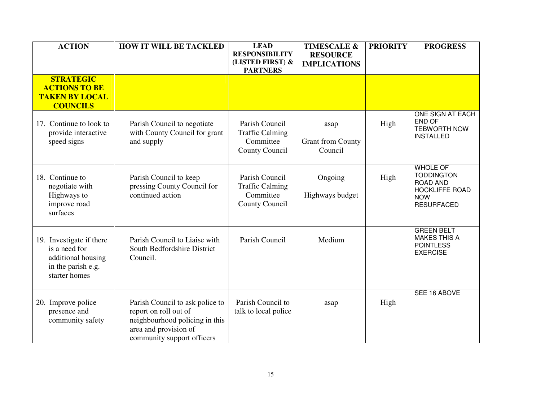| <b>ACTION</b>                                                                                          | <b>HOW IT WILL BE TACKLED</b>                                                                                                                     | <b>LEAD</b>                                                             | <b>TIMESCALE &amp;</b>                      | <b>PRIORITY</b> | <b>PROGRESS</b>                                                                                                     |
|--------------------------------------------------------------------------------------------------------|---------------------------------------------------------------------------------------------------------------------------------------------------|-------------------------------------------------------------------------|---------------------------------------------|-----------------|---------------------------------------------------------------------------------------------------------------------|
|                                                                                                        |                                                                                                                                                   | <b>RESPONSIBILITY</b><br>(LISTED FIRST) &<br><b>PARTNERS</b>            | <b>RESOURCE</b><br><b>IMPLICATIONS</b>      |                 |                                                                                                                     |
| <b>STRATEGIC</b><br><b>ACTIONS TO BE</b><br><b>TAKEN BY LOCAL</b><br><b>COUNCILS</b>                   |                                                                                                                                                   |                                                                         |                                             |                 |                                                                                                                     |
| 17. Continue to look to<br>provide interactive<br>speed signs                                          | Parish Council to negotiate<br>with County Council for grant<br>and supply                                                                        | Parish Council<br><b>Traffic Calming</b><br>Committee<br>County Council | asap<br><b>Grant from County</b><br>Council | High            | ONE SIGN AT EACH<br>END OF<br><b>TEBWORTH NOW</b><br><b>INSTALLED</b>                                               |
| 18. Continue to<br>negotiate with<br>Highways to<br>improve road<br>surfaces                           | Parish Council to keep<br>pressing County Council for<br>continued action                                                                         | Parish Council<br><b>Traffic Calming</b><br>Committee<br>County Council | Ongoing<br>Highways budget                  | High            | <b>WHOLE OF</b><br><b>TODDINGTON</b><br><b>ROAD AND</b><br><b>HOCKLIFFE ROAD</b><br><b>NOW</b><br><b>RESURFACED</b> |
| 19. Investigate if there<br>is a need for<br>additional housing<br>in the parish e.g.<br>starter homes | Parish Council to Liaise with<br>South Bedfordshire District<br>Council.                                                                          | Parish Council                                                          | Medium                                      |                 | <b>GREEN BELT</b><br><b>MAKES THIS A</b><br><b>POINTLESS</b><br><b>EXERCISE</b>                                     |
| 20. Improve police<br>presence and<br>community safety                                                 | Parish Council to ask police to<br>report on roll out of<br>neighbourhood policing in this<br>area and provision of<br>community support officers | Parish Council to<br>talk to local police                               | asap                                        | High            | SEE 16 ABOVE                                                                                                        |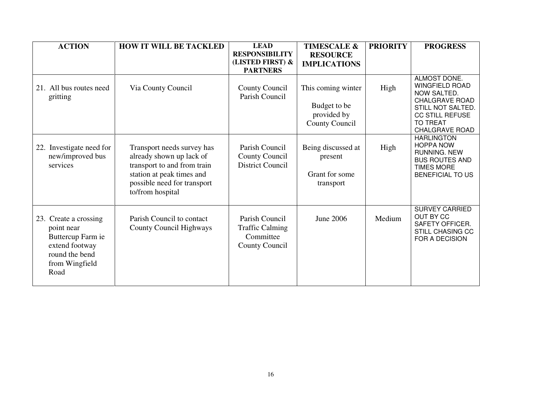| <b>ACTION</b>                                                                                                          | <b>HOW IT WILL BE TACKLED</b>                                                                                                                                         | <b>LEAD</b><br><b>RESPONSIBILITY</b>                                           | <b>TIMESCALE &amp;</b>                                                     | <b>PRIORITY</b> | <b>PROGRESS</b>                                                                                                                                                          |
|------------------------------------------------------------------------------------------------------------------------|-----------------------------------------------------------------------------------------------------------------------------------------------------------------------|--------------------------------------------------------------------------------|----------------------------------------------------------------------------|-----------------|--------------------------------------------------------------------------------------------------------------------------------------------------------------------------|
|                                                                                                                        |                                                                                                                                                                       | (LISTED FIRST) &<br><b>PARTNERS</b>                                            | <b>RESOURCE</b><br><b>IMPLICATIONS</b>                                     |                 |                                                                                                                                                                          |
| 21. All bus routes need<br>gritting                                                                                    | Via County Council                                                                                                                                                    | County Council<br>Parish Council                                               | This coming winter<br>Budget to be<br>provided by<br><b>County Council</b> | High            | ALMOST DONE.<br><b>WINGFIELD ROAD</b><br>NOW SALTED.<br><b>CHALGRAVE ROAD</b><br>STILL NOT SALTED.<br><b>CC STILL REFUSE</b><br><b>TO TREAT</b><br><b>CHALGRAVE ROAD</b> |
| 22. Investigate need for<br>new/improved bus<br>services                                                               | Transport needs survey has<br>already shown up lack of<br>transport to and from train<br>station at peak times and<br>possible need for transport<br>to/from hospital | Parish Council<br>County Council<br><b>District Council</b>                    | Being discussed at<br>present<br>Grant for some<br>transport               | High            | <b>HARLINGTON</b><br><b>HOPPA NOW</b><br>RUNNING. NEW<br><b>BUS ROUTES AND</b><br><b>TIMES MORE</b><br><b>BENEFICIAL TO US</b>                                           |
| 23. Create a crossing<br>point near<br>Buttercup Farm ie<br>extend footway<br>round the bend<br>from Wingfield<br>Road | Parish Council to contact<br><b>County Council Highways</b>                                                                                                           | Parish Council<br><b>Traffic Calming</b><br>Committee<br><b>County Council</b> | June 2006                                                                  | Medium          | <b>SURVEY CARRIED</b><br>OUT BY CC<br>SAFETY OFFICER.<br><b>STILL CHASING CC</b><br><b>FOR A DECISION</b>                                                                |